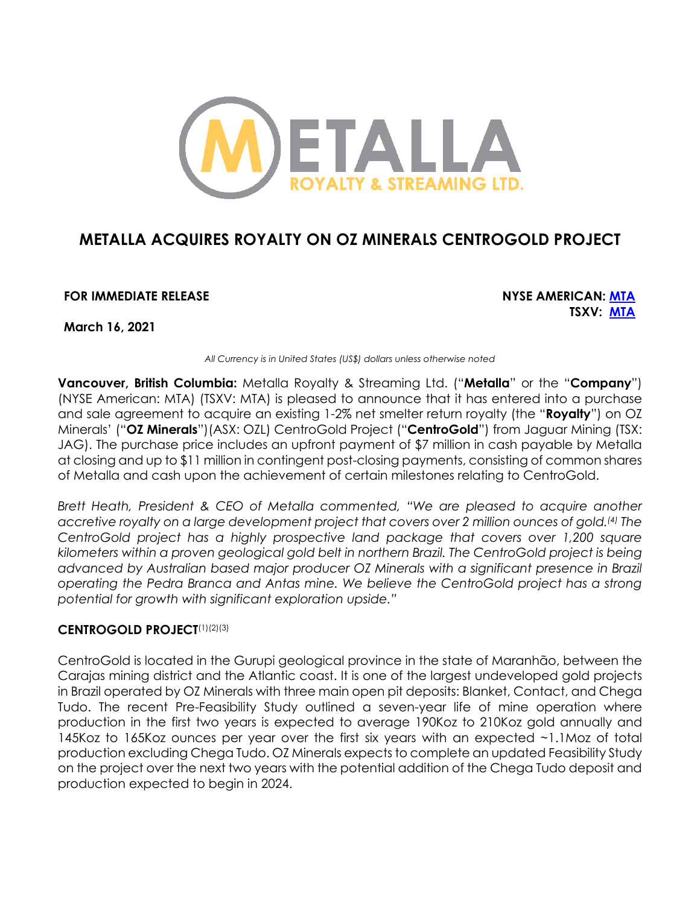

# **METALLA ACQUIRES ROYALTY ON OZ MINERALS CENTROGOLD PROJECT**

**FOR IMMEDIATE RELEASE NYSE AMERICAN: MTA**

**TSXV: MTA**

**March 16, 2021**

*All Currency is in United States (US\$) dollars unless otherwise noted*

**Vancouver, British Columbia:** Metalla Royalty & Streaming Ltd. ("**Metalla**" or the "**Company**") (NYSE American: MTA) (TSXV: MTA) is pleased to announce that it has entered into a purchase and sale agreement to acquire an existing 1-2% net smelter return royalty (the "**Royalty**") on OZ Minerals' ("**OZ Minerals**")(ASX: OZL) CentroGold Project ("**CentroGold**") from Jaguar Mining (TSX: JAG). The purchase price includes an upfront payment of \$7 million in cash payable by Metalla at closing and up to \$11 million in contingent post-closing payments, consisting of common shares of Metalla and cash upon the achievement of certain milestones relating to CentroGold.

*Brett Heath, President & CEO of Metalla commented, "We are pleased to acquire another accretive royalty on a large development project that covers over 2 million ounces of gold. (4) The CentroGold project has a highly prospective land package that covers over 1,200 square kilometers within a proven geological gold belt in northern Brazil. The CentroGold project is being advanced by Australian based major producer OZ Minerals with a significant presence in Brazil operating the Pedra Branca and Antas mine. We believe the CentroGold project has a strong potential for growth with significant exploration upside."*

# **CENTROGOLD PROJECT**(1)(2)(3)

CentroGold is located in the Gurupi geological province in the state of Maranhão, between the Carajas mining district and the Atlantic coast. It is one of the largest undeveloped gold projects in Brazil operated by OZ Minerals with three main open pit deposits: Blanket, Contact, and Chega Tudo. The recent Pre-Feasibility Study outlined a seven-year life of mine operation where production in the first two years is expected to average 190Koz to 210Koz gold annually and 145Koz to 165Koz ounces per year over the first six years with an expected ~1.1Moz of total production excluding Chega Tudo. OZ Minerals expects to complete an updated Feasibility Study on the project over the next two years with the potential addition of the Chega Tudo deposit and production expected to begin in 2024.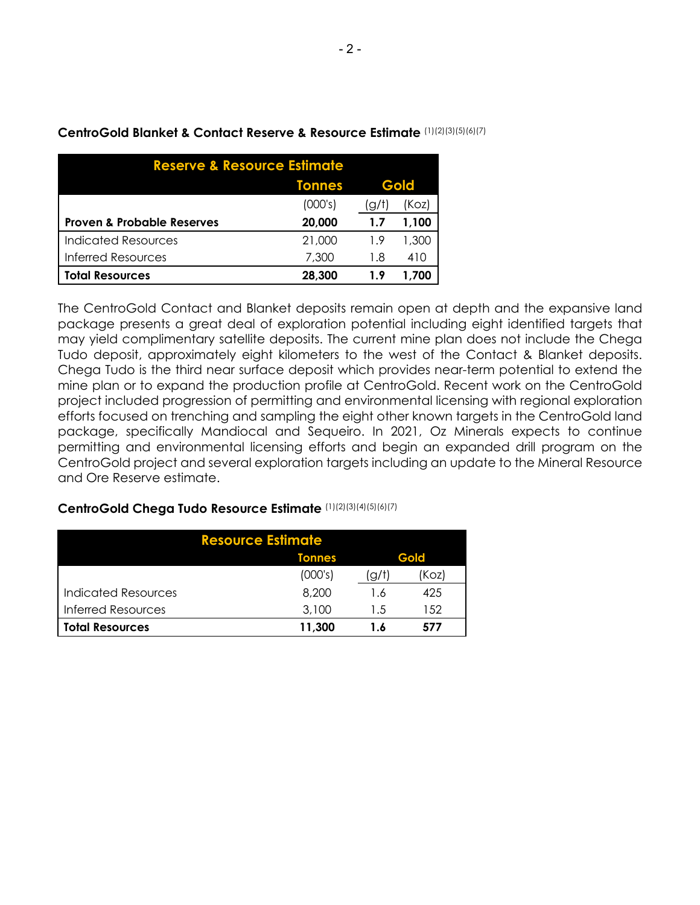| <b>Reserve &amp; Resource Estimate</b> |               |                         |       |  |
|----------------------------------------|---------------|-------------------------|-------|--|
|                                        | <b>Tonnes</b> | Gold                    |       |  |
|                                        | (000's)       | $\mathsf{Q}/\mathsf{t}$ | (Koz) |  |
| <b>Proven &amp; Probable Reserves</b>  | 20,000        | 1.7                     | 1.100 |  |
| Indicated Resources                    | 21,000        | 1.9                     | 1,300 |  |
| <b>Inferred Resources</b>              | 7,300         | 1.8                     | 410   |  |
| <b>Total Resources</b>                 | 28,300        | 1.9                     | 1.700 |  |

# **CentroGold Blanket & Contact Reserve & Resource Estimate** (1)(2)(3)(5)(6)(7)

The CentroGold Contact and Blanket deposits remain open at depth and the expansive land package presents a great deal of exploration potential including eight identified targets that may yield complimentary satellite deposits. The current mine plan does not include the Chega Tudo deposit, approximately eight kilometers to the west of the Contact & Blanket deposits. Chega Tudo is the third near surface deposit which provides near-term potential to extend the mine plan or to expand the production profile at CentroGold. Recent work on the CentroGold project included progression of permitting and environmental licensing with regional exploration efforts focused on trenching and sampling the eight other known targets in the CentroGold land package, specifically Mandiocal and Sequeiro. In 2021, Oz Minerals expects to continue permitting and environmental licensing efforts and begin an expanded drill program on the CentroGold project and several exploration targets including an update to the Mineral Resource and Ore Reserve estimate.

## **CentroGold Chega Tudo Resource Estimate** (1)(2)(3)(4)(5)(6)(7)

| <b>Resource Estimate</b>  |               |      |       |  |  |
|---------------------------|---------------|------|-------|--|--|
|                           | <b>Tonnes</b> | Gold |       |  |  |
|                           | (000's)       | g/t  | (Koz) |  |  |
| Indicated Resources       | 8,200         | 1.6  | 425   |  |  |
| <b>Inferred Resources</b> | 3,100         | 1.5  | 152   |  |  |
| <b>Total Resources</b>    | 11,300        | 1.6  | 577   |  |  |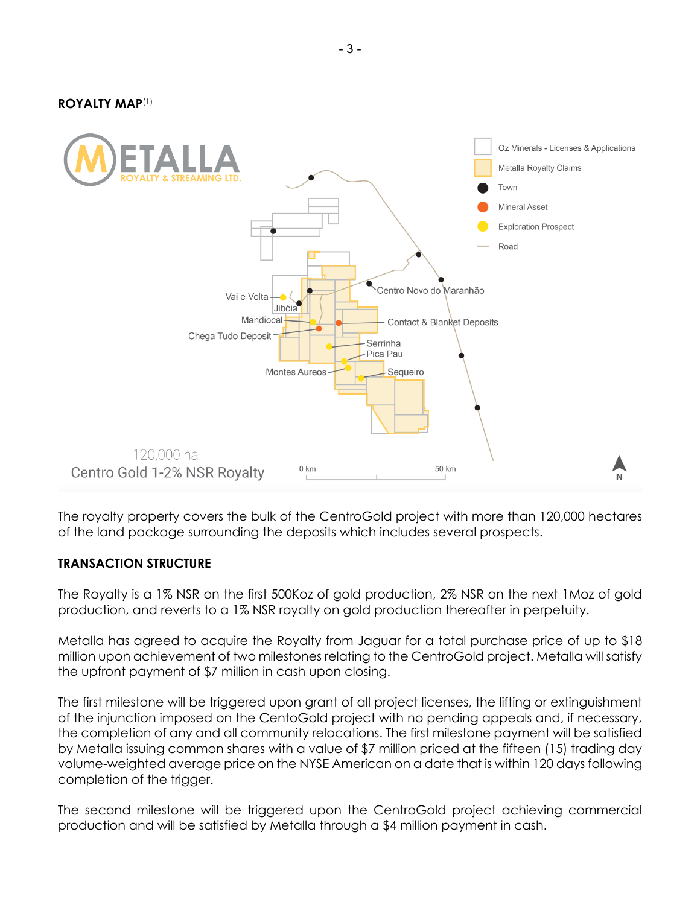**ROYALTY MAP**(1)



The royalty property covers the bulk of the CentroGold project with more than 120,000 hectares of the land package surrounding the deposits which includes several prospects.

#### **TRANSACTION STRUCTURE**

The Royalty is a 1% NSR on the first 500Koz of gold production, 2% NSR on the next 1Moz of gold production, and reverts to a 1% NSR royalty on gold production thereafter in perpetuity.

Metalla has agreed to acquire the Royalty from Jaguar for a total purchase price of up to \$18 million upon achievement of two milestones relating to the CentroGold project. Metalla will satisfy the upfront payment of \$7 million in cash upon closing.

The first milestone will be triggered upon grant of all project licenses, the lifting or extinguishment of the injunction imposed on the CentoGold project with no pending appeals and, if necessary, the completion of any and all community relocations. The first milestone payment will be satisfied by Metalla issuing common shares with a value of \$7 million priced at the fifteen (15) trading day volume-weighted average price on the NYSE American on a date that is within 120 days following completion of the trigger.

The second milestone will be triggered upon the CentroGold project achieving commercial production and will be satisfied by Metalla through a \$4 million payment in cash.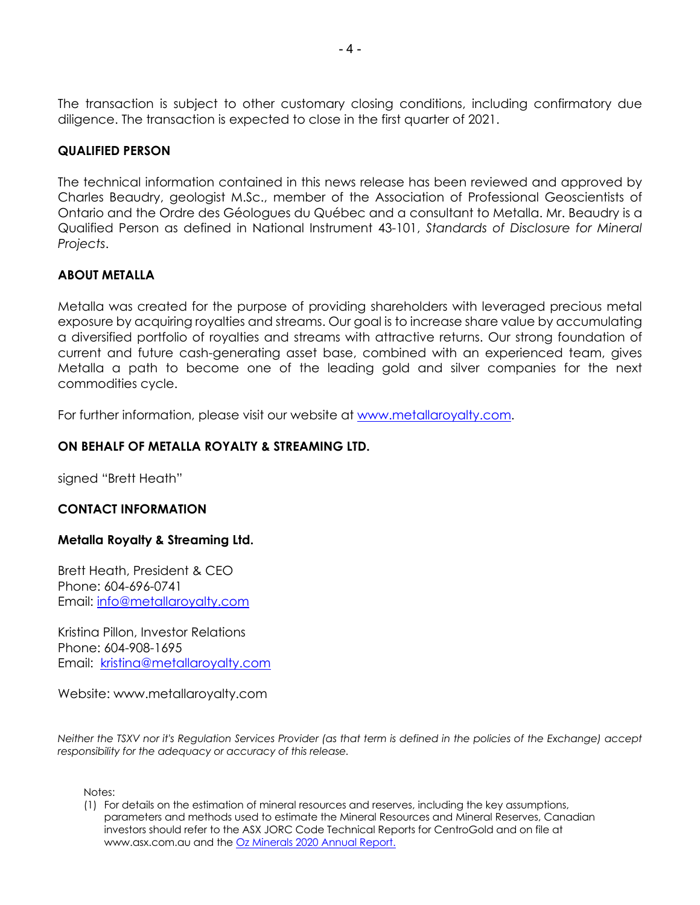The transaction is subject to other customary closing conditions, including confirmatory due diligence. The transaction is expected to close in the first quarter of 2021.

# **QUALIFIED PERSON**

The technical information contained in this news release has been reviewed and approved by Charles Beaudry, geologist M.Sc., member of the Association of Professional Geoscientists of Ontario and the Ordre des Géologues du Québec and a consultant to Metalla. Mr. Beaudry is a Qualified Person as defined in National Instrument 43-101, *Standards of Disclosure for Mineral Projects*.

### **ABOUT METALLA**

Metalla was created for the purpose of providing shareholders with leveraged precious metal exposure by acquiring royalties and streams. Our goal is to increase share value by accumulating a diversified portfolio of royalties and streams with attractive returns. Our strong foundation of current and future cash-generating asset base, combined with an experienced team, gives Metalla a path to become one of the leading gold and silver companies for the next commodities cycle.

For further information, please visit our website at www.metallaroyalty.com.

### **ON BEHALF OF METALLA ROYALTY & STREAMING LTD.**

signed "Brett Heath"

#### **CONTACT INFORMATION**

#### **Metalla Royalty & Streaming Ltd.**

Brett Heath, President & CEO Phone: 604-696-0741 Email: info@metallaroyalty.com

Kristina Pillon, Investor Relations Phone: 604-908-1695 Email: kristina@metallaroyalty.com

Website: www.metallaroyalty.com

*Neither the TSXV nor it's Regulation Services Provider (as that term is defined in the policies of the Exchange) accept responsibility for the adequacy or accuracy of this release.* 

Notes:

(1) For details on the estimation of mineral resources and reserves, including the key assumptions, parameters and methods used to estimate the Mineral Resources and Mineral Reserves, Canadian investors should refer to the ASX JORC Code Technical Reports for CentroGold and on file at www.asx.com.au and the **Oz Minerals 2020 Annual Report.**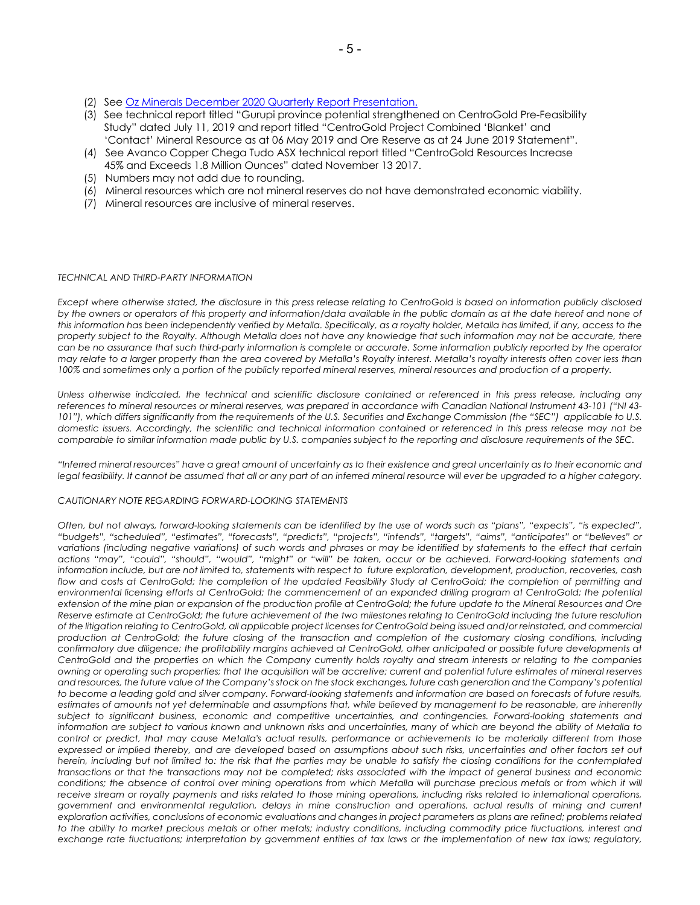- (2) See Oz Minerals December 2020 Quarterly Report Presentation.
- (3) See technical report titled "Gurupi province potential strengthened on CentroGold Pre-Feasibility Study" dated July 11, 2019 and report titled "CentroGold Project Combined 'Blanket' and 'Contact' Mineral Resource as at 06 May 2019 and Ore Reserve as at 24 June 2019 Statement".
- (4) See Avanco Copper Chega Tudo ASX technical report titled "CentroGold Resources Increase 45% and Exceeds 1.8 Million Ounces" dated November 13 2017.
- (5) Numbers may not add due to rounding.
- (6) Mineral resources which are not mineral reserves do not have demonstrated economic viability.
- (7) Mineral resources are inclusive of mineral reserves.

#### *TECHNICAL AND THIRD-PARTY INFORMATION*

*Except where otherwise stated, the disclosure in this press release relating to CentroGold is based on information publicly disclosed*  by the owners or operators of this property and information/data available in the public domain as at the date hereof and none of *this information has been independently verified by Metalla. Specifically, as a royalty holder, Metalla has limited, if any, access to the property subject to the Royalty. Although Metalla does not have any knowledge that such information may not be accurate, there can be no assurance that such third-party information is complete or accurate. Some information publicly reported by the operator may relate to a larger property than the area covered by Metalla's Royalty interest. Metalla's royalty interests often cover less than 100% and sometimes only a portion of the publicly reported mineral reserves, mineral resources and production of a property.*

*Unless otherwise indicated, the technical and scientific disclosure contained or referenced in this press release, including any references to mineral resources or mineral reserves, was prepared in accordance with Canadian National Instrument 43-101 ("NI 43- 101"), which differs significantly from the requirements of the U.S. Securities and Exchange Commission (the "SEC") applicable to U.S. domestic issuers. Accordingly, the scientific and technical information contained or referenced in this press release may not be comparable to similar information made public by U.S. companies subject to the reporting and disclosure requirements of the SEC.*

*"Inferred mineral resources" have a great amount of uncertainty as to their existence and great uncertainty as to their economic and*  legal feasibility. It cannot be assumed that all or any part of an inferred mineral resource will ever be upgraded to a higher category.

#### *CAUTIONARY NOTE REGARDING FORWARD-LOOKING STATEMENTS*

*Often, but not always, forward-looking statements can be identified by the use of words such as "plans", "expects", "is expected", "budgets", "scheduled", "estimates", "forecasts", "predicts", "projects", "intends", "targets", "aims", "anticipates" or "believes" or variations (including negative variations) of such words and phrases or may be identified by statements to the effect that certain actions "may", "could", "should", "would", "might" or "will" be taken, occur or be achieved. Forward-looking statements and information include, but are not limited to, statements with respect to future exploration, development, production, recoveries, cash flow and costs at CentroGold; the completion of the updated Feasibility Study at CentroGold; the completion of permitting and* environmental licensing efforts at CentroGold; the commencement of an expanded drilling program at CentroGold; the potential *extension of the mine plan or expansion of the production profile at CentroGold; the future update to the Mineral Resources and Ore Reserve estimate at CentroGold; the future achievement of the two milestones relating to CentroGold including the future resolution of the litigation relating to CentroGold, all applicable project licenses for CentroGold being issued and/or reinstated, and commercial production at CentroGold; the future closing of the transaction and completion of the customary closing conditions, including confirmatory due diligence; the profitability margins achieved at CentroGold, other anticipated or possible future developments at CentroGold and the properties on which the Company currently holds royalty and stream interests or relating to the companies owning or operating such properties; that the acquisition will be accretive; current and potential future estimates of mineral reserves and resources, the future value of the Company's stock on the stock exchanges, future cash generation and the Company's potential to become a leading gold and silver company. Forward-looking statements and information are based on forecasts of future results, estimates of amounts not yet determinable and assumptions that, while believed by management to be reasonable, are inherently subject to significant business, economic and competitive uncertainties, and contingencies. Forward-looking statements and information are subject to various known and unknown risks and uncertainties, many of which are beyond the ability of Metalla to control or predict, that may cause Metalla's actual results, performance or achievements to be materially different from those expressed or implied thereby, and are developed based on assumptions about such risks, uncertainties and other factors set out herein, including but not limited to: the risk that the parties may be unable to satisfy the closing conditions for the contemplated transactions or that the transactions may not be completed; risks associated with the impact of general business and economic conditions; the absence of control over mining operations from which Metalla will purchase precious metals or from which it will* receive stream or royalty payments and risks related to those mining operations, including risks related to international operations, *government and environmental regulation, delays in mine construction and operations, actual results of mining and current exploration activities, conclusions of economic evaluations and changes in project parameters as plans are refined; problems related to the ability to market precious metals or other metals; industry conditions, including commodity price fluctuations, interest and exchange rate fluctuations; interpretation by government entities of tax laws or the implementation of new tax laws; regulatory,*